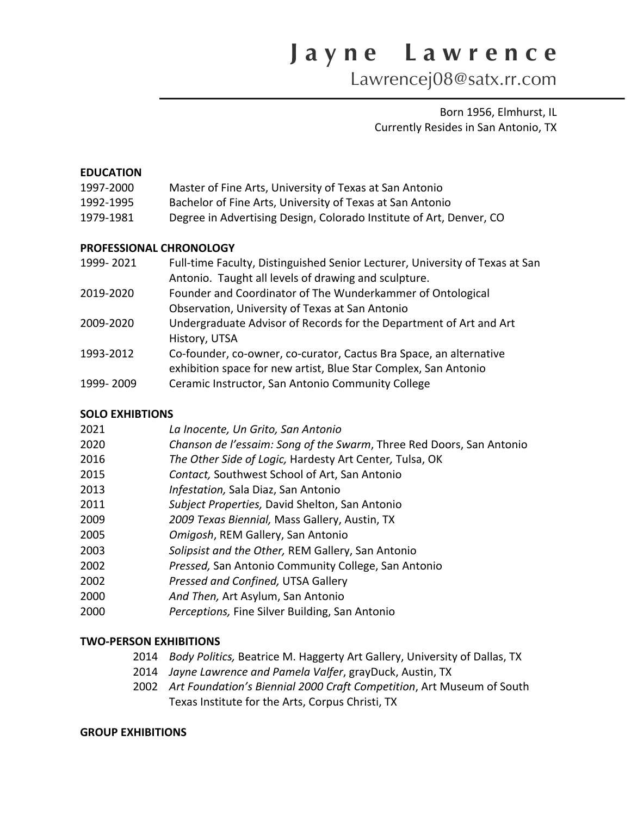Lawrencej08@satx.rr.com

Born 1956, Elmhurst, IL Currently Resides in San Antonio, TX

### **EDUCATION**

| 1997-2000 | Master of Fine Arts, University of Texas at San Antonio |
|-----------|---------------------------------------------------------|
|-----------|---------------------------------------------------------|

- 1992-1995 Bachelor of Fine Arts, University of Texas at San Antonio
- 1979-1981 Degree in Advertising Design, Colorado Institute of Art, Denver, CO

#### **PROFESSIONAL CHRONOLOGY**

| 1999-2021 | Full-time Faculty, Distinguished Senior Lecturer, University of Texas at San |
|-----------|------------------------------------------------------------------------------|
|           | Antonio. Taught all levels of drawing and sculpture.                         |
| 2019-2020 | Founder and Coordinator of The Wunderkammer of Ontological                   |
|           | Observation, University of Texas at San Antonio                              |
| 2009-2020 | Undergraduate Advisor of Records for the Department of Art and Art           |
|           | History, UTSA                                                                |
| 1993-2012 | Co-founder, co-owner, co-curator, Cactus Bra Space, an alternative           |
|           | exhibition space for new artist, Blue Star Complex, San Antonio              |
| 1999-2009 | Ceramic Instructor, San Antonio Community College                            |
|           |                                                                              |

## **SOLO EXHIBTIONS**

| 2021 | La Inocente, Un Grito, San Antonio                                   |
|------|----------------------------------------------------------------------|
| 2020 | Chanson de l'essaim: Song of the Swarm, Three Red Doors, San Antonio |
| 2016 | The Other Side of Logic, Hardesty Art Center, Tulsa, OK              |
| 2015 | Contact, Southwest School of Art, San Antonio                        |
| 2013 | Infestation, Sala Diaz, San Antonio                                  |
| 2011 | Subject Properties, David Shelton, San Antonio                       |
| 2009 | 2009 Texas Biennial, Mass Gallery, Austin, TX                        |
| 2005 | Omigosh, REM Gallery, San Antonio                                    |
| 2003 | Solipsist and the Other, REM Gallery, San Antonio                    |
| 2002 | Pressed, San Antonio Community College, San Antonio                  |
| 2002 | Pressed and Confined, UTSA Gallery                                   |
| 2000 | And Then, Art Asylum, San Antonio                                    |
| 2000 | Perceptions, Fine Silver Building, San Antonio                       |

## **TWO-PERSON EXHIBITIONS**

- 2014 *Body Politics,* Beatrice M. Haggerty Art Gallery, University of Dallas, TX
- 2014 *Jayne Lawrence and Pamela Valfer*, grayDuck, Austin, TX
- 2002 *Art Foundation's Biennial 2000 Craft Competition*, Art Museum of South Texas Institute for the Arts, Corpus Christi, TX

### **GROUP EXHIBITIONS**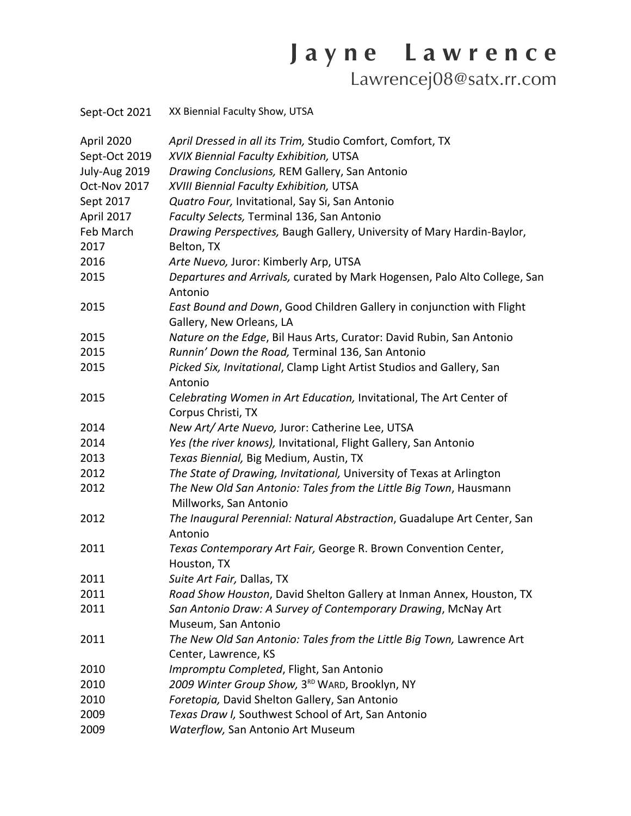Lawrencej08@satx.rr.com

| Sept-Oct 2021 | XX Biennial Faculty Show, UTSA                                                                    |
|---------------|---------------------------------------------------------------------------------------------------|
| April 2020    | April Dressed in all its Trim, Studio Comfort, Comfort, TX                                        |
| Sept-Oct 2019 | XVIX Biennial Faculty Exhibition, UTSA                                                            |
| July-Aug 2019 | Drawing Conclusions, REM Gallery, San Antonio                                                     |
| Oct-Nov 2017  | XVIII Biennial Faculty Exhibition, UTSA                                                           |
| Sept 2017     | Quatro Four, Invitational, Say Si, San Antonio                                                    |
| April 2017    | Faculty Selects, Terminal 136, San Antonio                                                        |
| Feb March     | Drawing Perspectives, Baugh Gallery, University of Mary Hardin-Baylor,                            |
| 2017          | Belton, TX                                                                                        |
| 2016          | Arte Nuevo, Juror: Kimberly Arp, UTSA                                                             |
| 2015          | Departures and Arrivals, curated by Mark Hogensen, Palo Alto College, San<br>Antonio              |
| 2015          | East Bound and Down, Good Children Gallery in conjunction with Flight<br>Gallery, New Orleans, LA |
| 2015          | Nature on the Edge, Bil Haus Arts, Curator: David Rubin, San Antonio                              |
| 2015          | Runnin' Down the Road, Terminal 136, San Antonio                                                  |
| 2015          | Picked Six, Invitational, Clamp Light Artist Studios and Gallery, San<br>Antonio                  |
| 2015          | Celebrating Women in Art Education, Invitational, The Art Center of<br>Corpus Christi, TX         |
| 2014          | New Art/ Arte Nuevo, Juror: Catherine Lee, UTSA                                                   |
| 2014          | Yes (the river knows), Invitational, Flight Gallery, San Antonio                                  |
| 2013          | Texas Biennial, Big Medium, Austin, TX                                                            |
| 2012          | The State of Drawing, Invitational, University of Texas at Arlington                              |
| 2012          | The New Old San Antonio: Tales from the Little Big Town, Hausmann<br>Millworks, San Antonio       |
| 2012          | The Inaugural Perennial: Natural Abstraction, Guadalupe Art Center, San<br>Antonio                |
| 2011          | Texas Contemporary Art Fair, George R. Brown Convention Center,<br>Houston, TX                    |
| 2011          | Suite Art Fair, Dallas, TX                                                                        |
| 2011          | Road Show Houston, David Shelton Gallery at Inman Annex, Houston, TX                              |
| 2011          | San Antonio Draw: A Survey of Contemporary Drawing, McNay Art                                     |
|               | Museum, San Antonio                                                                               |
| 2011          | The New Old San Antonio: Tales from the Little Big Town, Lawrence Art                             |
|               | Center, Lawrence, KS                                                                              |
| 2010          | Impromptu Completed, Flight, San Antonio                                                          |
| 2010          | 2009 Winter Group Show, 3 <sup>RD</sup> WARD, Brooklyn, NY                                        |
| 2010          | Foretopia, David Shelton Gallery, San Antonio                                                     |
| 2009          | Texas Draw I, Southwest School of Art, San Antonio                                                |
| 2009          | Waterflow, San Antonio Art Museum                                                                 |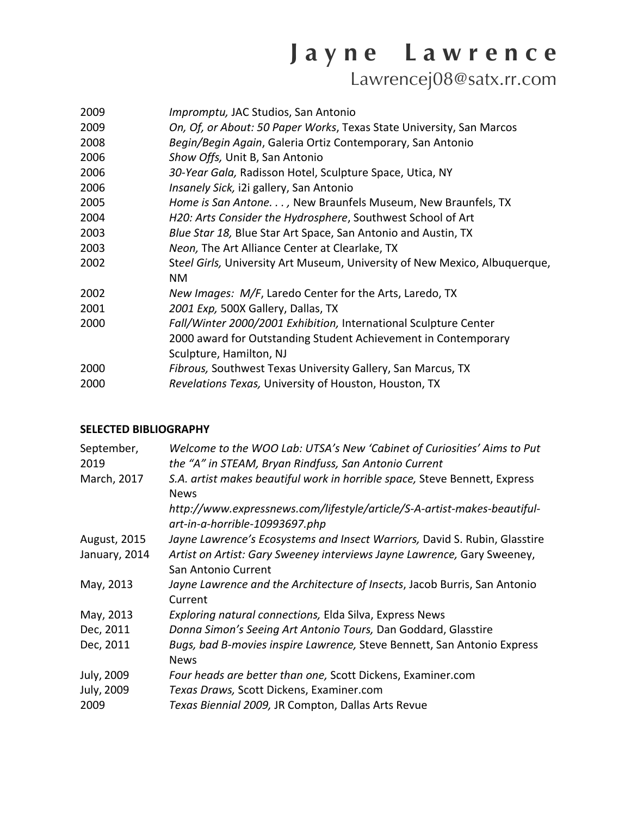Lawrencej08@satx.rr.com

| 2009 | <i>Impromptu, JAC Studios, San Antonio</i>                                 |
|------|----------------------------------------------------------------------------|
| 2009 | On, Of, or About: 50 Paper Works, Texas State University, San Marcos       |
| 2008 | Begin/Begin Again, Galeria Ortiz Contemporary, San Antonio                 |
| 2006 | Show Offs, Unit B, San Antonio                                             |
| 2006 | 30-Year Gala, Radisson Hotel, Sculpture Space, Utica, NY                   |
| 2006 | Insanely Sick, i2i gallery, San Antonio                                    |
| 2005 | Home is San Antone. , New Braunfels Museum, New Braunfels, TX              |
| 2004 | H20: Arts Consider the Hydrosphere, Southwest School of Art                |
| 2003 | Blue Star 18, Blue Star Art Space, San Antonio and Austin, TX              |
| 2003 | Neon, The Art Alliance Center at Clearlake, TX                             |
| 2002 | Steel Girls, University Art Museum, University of New Mexico, Albuquerque, |
|      | <b>NM</b>                                                                  |
| 2002 | New Images: M/F, Laredo Center for the Arts, Laredo, TX                    |
| 2001 | 2001 Exp, 500X Gallery, Dallas, TX                                         |
| 2000 | Fall/Winter 2000/2001 Exhibition, International Sculpture Center           |
|      | 2000 award for Outstanding Student Achievement in Contemporary             |
|      | Sculpture, Hamilton, NJ                                                    |
| 2000 | Fibrous, Southwest Texas University Gallery, San Marcus, TX                |
| 2000 | Revelations Texas, University of Houston, Houston, TX                      |

## **SELECTED BIBLIOGRAPHY**

| September,<br>2019 | Welcome to the WOO Lab: UTSA's New 'Cabinet of Curiosities' Aims to Put<br>the "A" in STEAM, Bryan Rindfuss, San Antonio Current |
|--------------------|----------------------------------------------------------------------------------------------------------------------------------|
| March, 2017        | S.A. artist makes beautiful work in horrible space, Steve Bennett, Express<br><b>News</b>                                        |
|                    | http://www.expressnews.com/lifestyle/article/S-A-artist-makes-beautiful-<br>art-in-a-horrible-10993697.php                       |
| August, 2015       | Jayne Lawrence's Ecosystems and Insect Warriors, David S. Rubin, Glasstire                                                       |
| January, 2014      | Artist on Artist: Gary Sweeney interviews Jayne Lawrence, Gary Sweeney,<br>San Antonio Current                                   |
| May, 2013          | Jayne Lawrence and the Architecture of Insects, Jacob Burris, San Antonio<br>Current                                             |
| May, 2013          | Exploring natural connections, Elda Silva, Express News                                                                          |
| Dec, 2011          | Donna Simon's Seeing Art Antonio Tours, Dan Goddard, Glasstire                                                                   |
| Dec, 2011          | Bugs, bad B-movies inspire Lawrence, Steve Bennett, San Antonio Express<br><b>News</b>                                           |
| July, 2009         | Four heads are better than one, Scott Dickens, Examiner.com                                                                      |
| July, 2009         | Texas Draws, Scott Dickens, Examiner.com                                                                                         |
| 2009               | Texas Biennial 2009, JR Compton, Dallas Arts Revue                                                                               |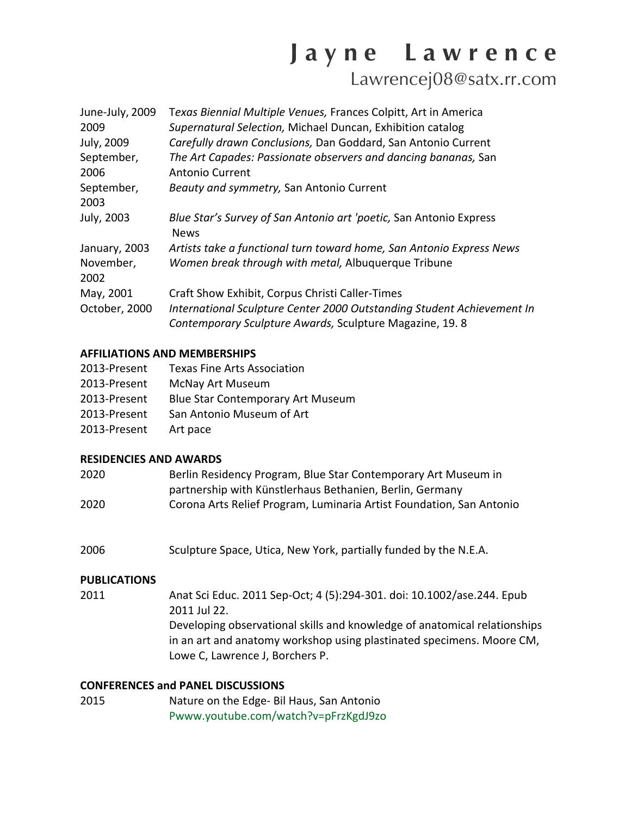Lawrencej08@satx.rr.com

| June-July, 2009<br>2009<br>July, 2009 | Texas Biennial Multiple Venues, Frances Colpitt, Art in America<br>Supernatural Selection, Michael Duncan, Exhibition catalog<br>Carefully drawn Conclusions, Dan Goddard, San Antonio Current |
|---------------------------------------|------------------------------------------------------------------------------------------------------------------------------------------------------------------------------------------------|
| September,                            | The Art Capades: Passionate observers and dancing bananas, San                                                                                                                                 |
| 2006                                  | <b>Antonio Current</b>                                                                                                                                                                         |
| September,                            | Beauty and symmetry, San Antonio Current                                                                                                                                                       |
| 2003                                  |                                                                                                                                                                                                |
| July, 2003                            | Blue Star's Survey of San Antonio art 'poetic, San Antonio Express<br><b>News</b>                                                                                                              |
| January, 2003                         | Artists take a functional turn toward home, San Antonio Express News                                                                                                                           |
| November,<br>2002                     | Women break through with metal, Albuquerque Tribune                                                                                                                                            |
| May, 2001                             | Craft Show Exhibit, Corpus Christi Caller-Times                                                                                                                                                |
| October, 2000                         | International Sculpture Center 2000 Outstanding Student Achievement In<br>Contemporary Sculpture Awards, Sculpture Magazine, 19.8                                                              |

## **AFFILIATIONS AND MEMBERSHIPS**

| 2013-Present | <b>Texas Fine Arts Association</b>       |
|--------------|------------------------------------------|
| 2013-Present | <b>McNay Art Museum</b>                  |
| 2013-Present | <b>Blue Star Contemporary Art Museum</b> |
| 2013-Present | San Antonio Museum of Art                |
| 2013-Present | Art pace                                 |

## **RESIDENCIES AND AWARDS**

| 2020 | Berlin Residency Program, Blue Star Contemporary Art Museum in       |
|------|----------------------------------------------------------------------|
|      | partnership with Künstlerhaus Bethanien, Berlin, Germany             |
| 2020 | Corona Arts Relief Program, Luminaria Artist Foundation, San Antonio |

2006 Sculpture Space, Utica, New York, partially funded by the N.E.A.

## **PUBLICATIONS**

2011 Anat Sci Educ. 2011 Sep-Oct; 4 (5):294-301. doi: 10.1002/ase.244. Epub 2011 Jul 22. Developing observational skills and knowledge of anatomical relationships in an art and anatomy workshop using plastinated specimens. Moore CM, Lowe C, Lawrence J, Borchers P.

## **CONFERENCES and PANEL DISCUSSIONS**

2015 Nature on the Edge- Bil Haus, San Antonio Pwww.youtube.com/watch?v=pFrzKgdJ9zo